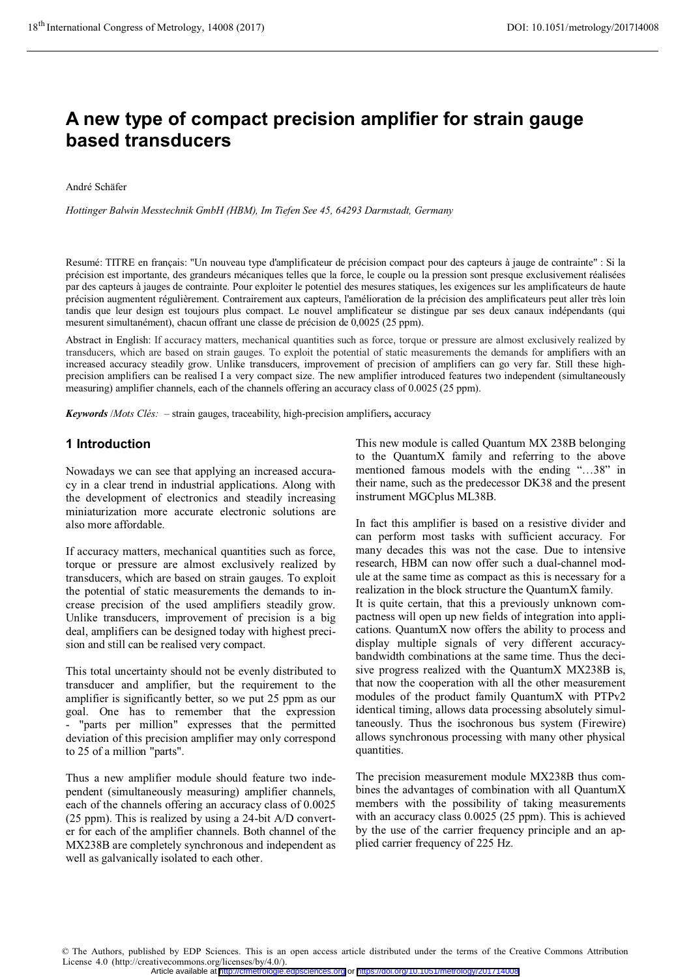# **A new type of compact precision amplifier for strain gauge based transducers**

André Schäfer

*Hottinger Balwin Messtechnik GmbH (HBM), Im Tiefen See 45, 64293 Darmstadt, Germany* 

Resumé: TITRE en français: "Un nouveau type d'amplificateur de précision compact pour des capteurs à jauge de contrainte" : Si la précision est importante, des grandeurs mécaniques telles que la force, le couple ou la pression sont presque exclusivement réalisées par des capteurs à jauges de contrainte. Pour exploiter le potentiel des mesures statiques, les exigences sur les amplificateurs de haute précision augmentent régulièrement. Contrairement aux capteurs, l'amélioration de la précision des amplificateurs peut aller très loin tandis que leur design est toujours plus compact. Le nouvel amplificateur se distingue par ses deux canaux indépendants (qui mesurent simultanément), chacun offrant une classe de précision de 0,0025 (25 ppm).

Abstract in English: If accuracy matters, mechanical quantities such as force, torque or pressure are almost exclusively realized by transducers, which are based on strain gauges. To exploit the potential of static measurements the demands for amplifiers with an increased accuracy steadily grow. Unlike transducers, improvement of precision of amplifiers can go very far. Still these highprecision amplifiers can be realised I a very compact size. The new amplifier introduced features two independent (simultaneously measuring) amplifier channels, each of the channels offering an accuracy class of 0.0025 (25 ppm).

*Keywords* /*Mots Clés:* – strain gauges, traceability, high-precision amplifiers**,** accuracy

### **1 Introduction**

Nowadays we can see that applying an increased accuracy in a clear trend in industrial applications. Along with the development of electronics and steadily increasing miniaturization more accurate electronic solutions are also more affordable.

If accuracy matters, mechanical quantities such as force, torque or pressure are almost exclusively realized by transducers, which are based on strain gauges. To exploit the potential of static measurements the demands to increase precision of the used amplifiers steadily grow. Unlike transducers, improvement of precision is a big deal, amplifiers can be designed today with highest precision and still can be realised very compact.

This total uncertainty should not be evenly distributed to transducer and amplifier, but the requirement to the amplifier is significantly better, so we put 25 ppm as our goal. One has to remember that the expression - "parts per million" expresses that the permitted deviation of this precision amplifier may only correspond to 25 of a million "parts".

Thus a new amplifier module should feature two independent (simultaneously measuring) amplifier channels, each of the channels offering an accuracy class of 0.0025 (25 ppm). This is realized by using a 24-bit A/D converter for each of the amplifier channels. Both channel of the MX238B are completely synchronous and independent as well as galvanically isolated to each other.

This new module is called Quantum MX 238B belonging to the QuantumX family and referring to the above mentioned famous models with the ending "…38" in their name, such as the predecessor DK38 and the present instrument MGCplus ML38B.

In fact this amplifier is based on a resistive divider and can perform most tasks with sufficient accuracy. For many decades this was not the case. Due to intensive research, HBM can now offer such a dual-channel module at the same time as compact as this is necessary for a realization in the block structure the QuantumX family. It is quite certain, that this a previously unknown compactness will open up new fields of integration into applications. QuantumX now offers the ability to process and display multiple signals of very different accuracybandwidth combinations at the same time. Thus the decisive progress realized with the QuantumX MX238B is, that now the cooperation with all the other measurement modules of the product family QuantumX with PTPv2 identical timing, allows data processing absolutely simultaneously. Thus the isochronous bus system (Firewire) allows synchronous processing with many other physical quantities.

The precision measurement module MX238B thus combines the advantages of combination with all QuantumX members with the possibility of taking measurements with an accuracy class 0.0025 (25 ppm). This is achieved by the use of the carrier frequency principle and an applied carrier frequency of 225 Hz.

© The Authors, published by EDP Sciences. This is an open access article distributed under the terms of the Creative Commons Attribution License 4.0 (http://creativecommons.org/licenses/by/4.0/). Article available at <http://cfmetrologie.edpsciences.org> or <https://doi.org/10.1051/metrology/201714008>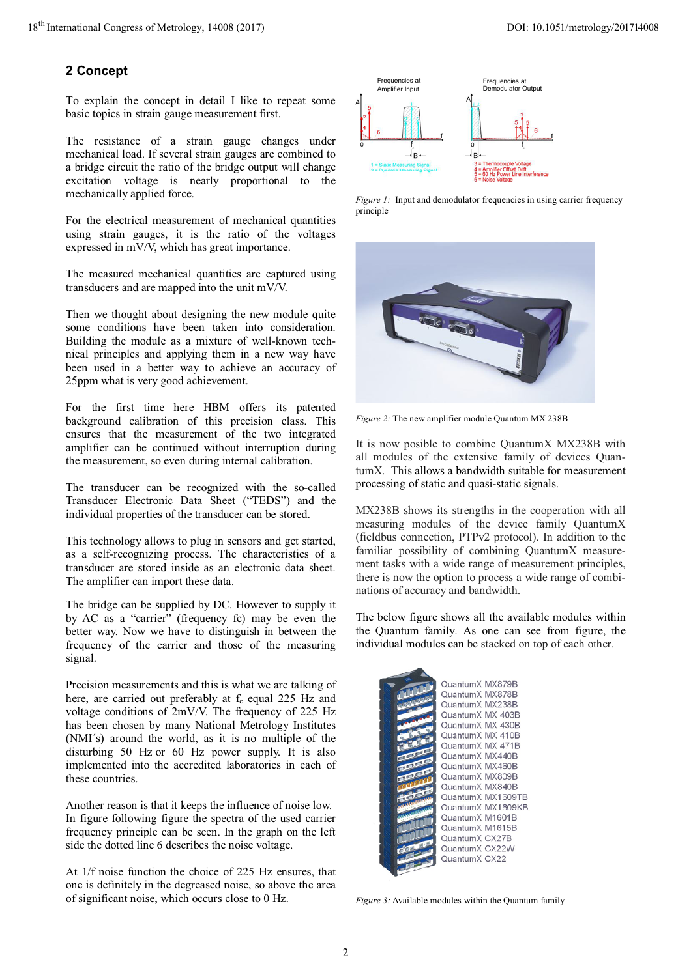## **2 Concept**

To explain the concept in detail I like to repeat some basic topics in strain gauge measurement first.

The resistance of a strain gauge changes under mechanical load. If several strain gauges are combined to a bridge circuit the ratio of the bridge output will change excitation voltage is nearly proportional to the mechanically applied force.

For the electrical measurement of mechanical quantities using strain gauges, it is the ratio of the voltages expressed in mV/V, which has great importance.

The measured mechanical quantities are captured using transducers and are mapped into the unit mV/V.

Then we thought about designing the new module quite some conditions have been taken into consideration. Building the module as a mixture of well-known technical principles and applying them in a new way have been used in a better way to achieve an accuracy of 25ppm what is very good achievement.

For the first time here HBM offers its patented background calibration of this precision class. This ensures that the measurement of the two integrated amplifier can be continued without interruption during the measurement, so even during internal calibration.

The transducer can be recognized with the so-called Transducer Electronic Data Sheet ("TEDS") and the individual properties of the transducer can be stored.

This technology allows to plug in sensors and get started, as a self-recognizing process. The characteristics of a transducer are stored inside as an electronic data sheet. The amplifier can import these data.

The bridge can be supplied by DC. However to supply it by AC as a "carrier" (frequency fc) may be even the better way. Now we have to distinguish in between the frequency of the carrier and those of the measuring signal.

Precision measurements and this is what we are talking of here, are carried out preferably at  $f_c$  equal 225 Hz and voltage conditions of 2mV/V. The frequency of 225 Hz has been chosen by many National Metrology Institutes (NMI´s) around the world, as it is no multiple of the disturbing 50 Hz or 60 Hz power supply. It is also implemented into the accredited laboratories in each of these countries.

Another reason is that it keeps the influence of noise low. In figure following figure the spectra of the used carrier frequency principle can be seen. In the graph on the left side the dotted line 6 describes the noise voltage.

At 1/f noise function the choice of 225 Hz ensures, that one is definitely in the degreased noise, so above the area of significant noise, which occurs close to 0 Hz.



*Figure 1:* Input and demodulator frequencies in using carrier frequency principle



*Figure 2:* The new amplifier module Quantum MX 238B

It is now posible to combine QuantumX MX238B with all modules of the extensive family of devices QuantumX. This allows a bandwidth suitable for measurement processing of static and quasi-static signals.

MX238B shows its strengths in the cooperation with all measuring modules of the device family QuantumX (fieldbus connection, PTPv2 protocol). In addition to the familiar possibility of combining QuantumX measurement tasks with a wide range of measurement principles, there is now the option to process a wide range of combinations of accuracy and bandwidth.

The below figure shows all the available modules within the Quantum family. As one can see from figure, the individual modules can be stacked on top of each other.

| QuantumX MX879B   |
|-------------------|
| QuantumX MX878B   |
| QuantumX MX238B   |
| QuantumX MX 403B  |
| QuantumX MX 430B  |
| QuantumX MX 410B  |
| QuantumX MX 471B  |
| QuantumX MX440B   |
| QuantumX MX460B   |
| QuantumX MX809B   |
| QuantumX MX840B   |
| QuantumX MX1609TE |
| QuantumX MX1609KE |
| QuantumX M1601B   |
| QuantumX M1615B   |
| QuantumX CX27B    |
| QuantumX CX22W    |
| QuantumX CX22     |
|                   |

*Figure 3:* Available modules within the Quantum family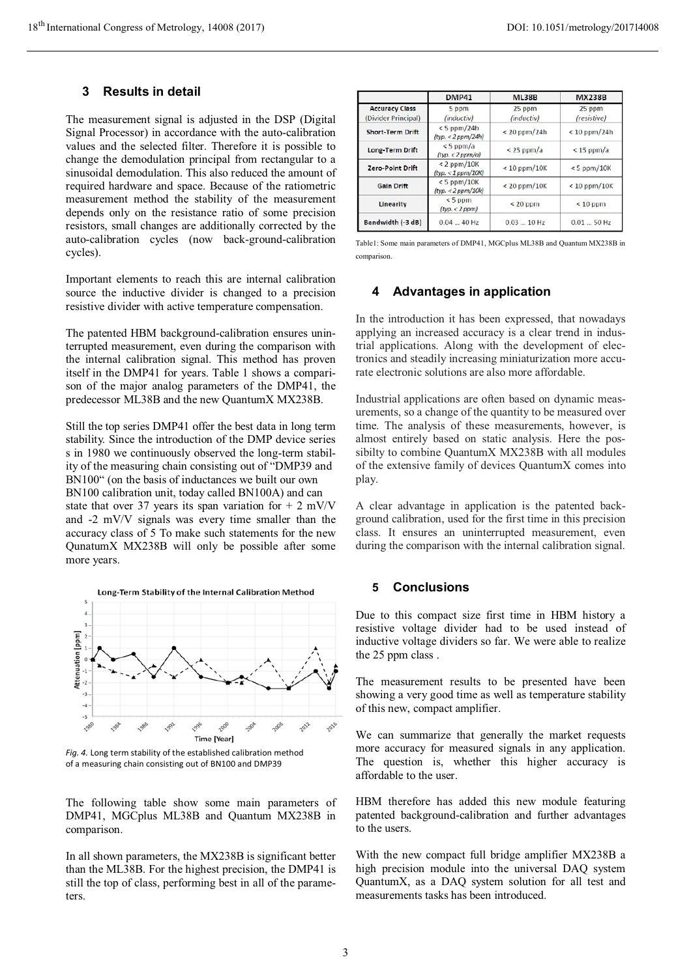# **3 Results in detail**

The measurement signal is adjusted in the DSP (Digital Signal Processor) in accordance with the auto-calibration values and the selected filter. Therefore it is possible to change the demodulation principal from rectangular to a sinusoidal demodulation. This also reduced the amount of required hardware and space. Because of the ratiometric measurement method the stability of the measurement depends only on the resistance ratio of some precision resistors, small changes are additionally corrected by the auto-calibration cycles (now back-ground-calibration cycles).

Important elements to reach this are internal calibration source the inductive divider is changed to a precision resistive divider with active temperature compensation.

The patented HBM background-calibration ensures uninterrupted measurement, even during the comparison with the internal calibration signal. This method has proven itself in the DMP41 for years. Table 1 shows a comparison of the major analog parameters of the DMP41, the predecessor ML38B and the new QuantumX MX238B.

Still the top series DMP41 offer the best data in long term stability. Since the introduction of the DMP device series s in 1980 we continuously observed the long-term stability of the measuring chain consisting out of "DMP39 and BN100" (on the basis of inductances we built our own BN100 calibration unit, today called BN100A) and can state that over 37 years its span variation for  $+ 2$  mV/V and -2 mV/V signals was every time smaller than the accuracy class of 5 To make such statements for the new QunatumX MX238B will only be possible after some more years.



*Fig. 4.* Long term stability of the established calibration method of a measuring chain consisting out of BN100 and DMP39

The following table show some main parameters of DMP41, MGCplus ML38B and Quantum MX238B in comparison.

In all shown parameters, the MX238B is significant better than the ML38B. For the highest precision, the DMP41 is still the top of class, performing best in all of the parameters.

|                                                                | <b>DMP41</b>                        | <b>ML38B</b>         | <b>MX238B</b>         |
|----------------------------------------------------------------|-------------------------------------|----------------------|-----------------------|
| <b>Accuracy Class</b><br>(Divider Principal)                   | 5 <sub>ppm</sub><br>(inductiv)      | 25 ppm<br>(inductiv) | 25 ppm<br>(resistive) |
| <b>Short-Term Drift</b>                                        | $< 5$ ppm/24h<br>(typ. < 2 ppm/24h) | $< 20$ ppm/24h       | $< 10$ ppm/24h        |
| <b>Long-Term Drift</b>                                         | $< 5$ ppm/a<br>(typ. < 2 ppm/a)     | $<$ 25 ppm/a         | $< 15$ ppm/a          |
| $< 2$ ppm/10K<br><b>Zero-Point Drift</b><br>(typ. < 1 ppm/10K) | $< 10$ ppm/10K                      | $< 5$ ppm/10K        |                       |
| <b>Gain Drift</b>                                              | $< 5$ ppm/10K<br>(typ. < 2 ppm/10k) | $< 20$ ppm/10K       | $< 10$ ppm/10K        |
| Linearity                                                      | $< 5$ ppm<br>(typ. < 2 ppm)         | $< 20$ ppm           | $< 10$ ppm            |
| Bandwidth (-3 dB)                                              | $0.0440$ Hz                         | 0.0310 Hz            | $0.0150$ Hz           |

Table1: Some main parameters of DMP41, MGCplus ML38B and Quantum MX238B in comparison.

#### **4 Advantages in application**

In the introduction it has been expressed, that nowadays applying an increased accuracy is a clear trend in industrial applications. Along with the development of electronics and steadily increasing miniaturization more accurate electronic solutions are also more affordable.

Industrial applications are often based on dynamic measurements, so a change of the quantity to be measured over time. The analysis of these measurements, however, is almost entirely based on static analysis. Here the possibilty to combine QuantumX MX238B with all modules of the extensive family of devices QuantumX comes into play.

A clear advantage in application is the patented background calibration, used for the first time in this precision class. It ensures an uninterrupted measurement, even during the comparison with the internal calibration signal.

## **5 Conclusions**

Due to this compact size first time in HBM history a resistive voltage divider had to be used instead of inductive voltage dividers so far. We were able to realize the 25 ppm class .

The measurement results to be presented have been showing a very good time as well as temperature stability of this new, compact amplifier.

We can summarize that generally the market requests more accuracy for measured signals in any application. The question is, whether this higher accuracy is affordable to the user.

HBM therefore has added this new module featuring patented background-calibration and further advantages to the users.

With the new compact full bridge amplifier MX238B a high precision module into the universal DAQ system QuantumX, as a DAQ system solution for all test and measurements tasks has been introduced.